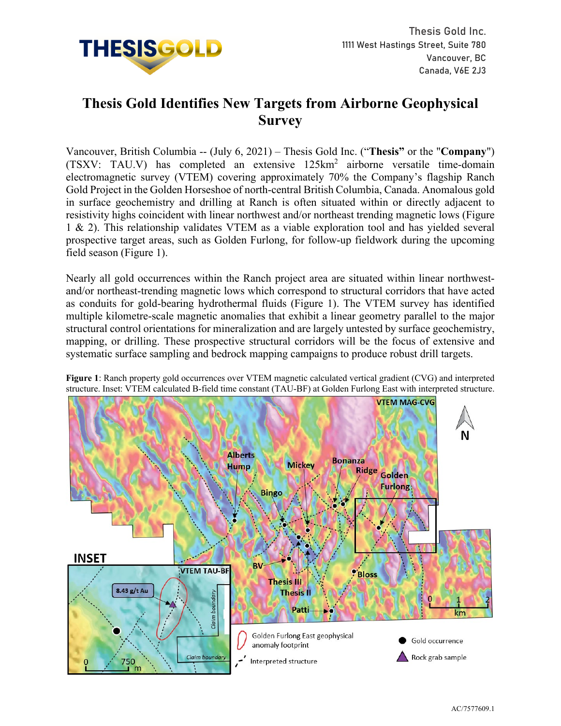

## **Thesis Gold Identifies New Targets from Airborne Geophysical Survey**

Vancouver, British Columbia -- (July 6, 2021) – Thesis Gold Inc. ("**Thesis"** or the "**Company**") (TSXV: TAU.V) has completed an extensive 125km2 airborne versatile time-domain electromagnetic survey (VTEM) covering approximately 70% the Company's flagship Ranch Gold Project in the Golden Horseshoe of north-central British Columbia, Canada. Anomalous gold in surface geochemistry and drilling at Ranch is often situated within or directly adjacent to resistivity highs coincident with linear northwest and/or northeast trending magnetic lows (Figure 1 & 2). This relationship validates VTEM as a viable exploration tool and has yielded several prospective target areas, such as Golden Furlong, for follow-up fieldwork during the upcoming field season (Figure 1).

Nearly all gold occurrences within the Ranch project area are situated within linear northwestand/or northeast-trending magnetic lows which correspond to structural corridors that have acted as conduits for gold-bearing hydrothermal fluids (Figure 1). The VTEM survey has identified multiple kilometre-scale magnetic anomalies that exhibit a linear geometry parallel to the major structural control orientations for mineralization and are largely untested by surface geochemistry, mapping, or drilling. These prospective structural corridors will be the focus of extensive and systematic surface sampling and bedrock mapping campaigns to produce robust drill targets.



**Figure 1**: Ranch property gold occurrences over VTEM magnetic calculated vertical gradient (CVG) and interpreted structure. Inset: VTEM calculated B-field time constant (TAU-BF) at Golden Furlong East with interpreted structure.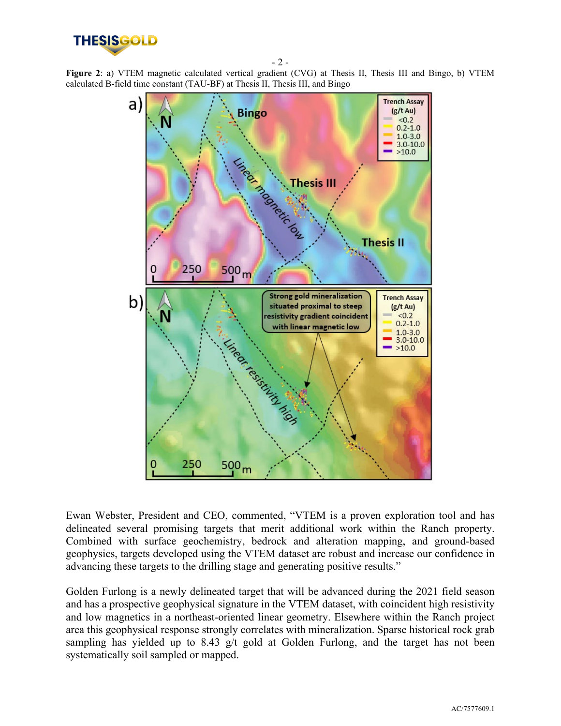

 $-2-$ 

**Figure 2**: a) VTEM magnetic calculated vertical gradient (CVG) at Thesis II, Thesis III and Bingo, b) VTEM calculated B-field time constant (TAU-BF) at Thesis II, Thesis III, and Bingo



Ewan Webster, President and CEO, commented, "VTEM is a proven exploration tool and has delineated several promising targets that merit additional work within the Ranch property. Combined with surface geochemistry, bedrock and alteration mapping, and ground-based geophysics, targets developed using the VTEM dataset are robust and increase our confidence in advancing these targets to the drilling stage and generating positive results."

Golden Furlong is a newly delineated target that will be advanced during the 2021 field season and has a prospective geophysical signature in the VTEM dataset, with coincident high resistivity and low magnetics in a northeast-oriented linear geometry. Elsewhere within the Ranch project area this geophysical response strongly correlates with mineralization. Sparse historical rock grab sampling has yielded up to 8.43 g/t gold at Golden Furlong, and the target has not been systematically soil sampled or mapped.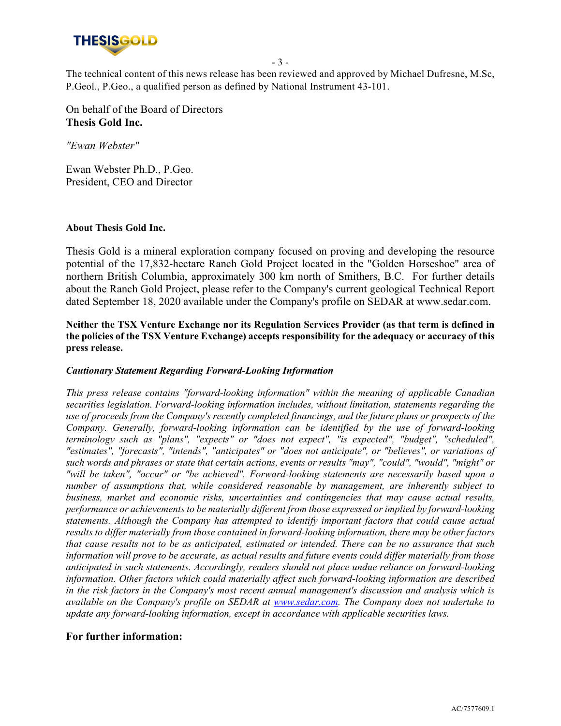

- 3 -

The technical content of this news release has been reviewed and approved by Michael Dufresne, M.Sc, P.Geol., P.Geo., a qualified person as defined by National Instrument 43-101.

On behalf of the Board of Directors **Thesis Gold Inc.**

*"Ewan Webster"*

Ewan Webster Ph.D., P.Geo. President, CEO and Director

## **About Thesis Gold Inc.**

Thesis Gold is a mineral exploration company focused on proving and developing the resource potential of the 17,832-hectare Ranch Gold Project located in the "Golden Horseshoe" area of northern British Columbia, approximately 300 km north of Smithers, B.C. For further details about the Ranch Gold Project, please refer to the Company's current geological Technical Report dated September 18, 2020 available under the Company's profile on SEDAR at www.sedar.com.

**Neither the TSX Venture Exchange nor its Regulation Services Provider (as that term is defined in the policies of the TSX Venture Exchange) accepts responsibility for the adequacy or accuracy of this press release.**

## *Cautionary Statement Regarding Forward-Looking Information*

*This press release contains "forward-looking information" within the meaning of applicable Canadian securities legislation. Forward-looking information includes, without limitation, statements regarding the use of proceeds from the Company's recently completed financings, and the future plans or prospects of the Company. Generally, forward-looking information can be identified by the use of forward-looking terminology such as "plans", "expects" or "does not expect", "is expected", "budget", "scheduled", "estimates", "forecasts", "intends", "anticipates" or "does not anticipate", or "believes", or variations of such words and phrases or state that certain actions, events or results "may", "could", "would", "might" or "will be taken", "occur" or "be achieved". Forward-looking statements are necessarily based upon a number of assumptions that, while considered reasonable by management, are inherently subject to business, market and economic risks, uncertainties and contingencies that may cause actual results, performance or achievements to be materially different from those expressed or implied by forward-looking statements. Although the Company has attempted to identify important factors that could cause actual results to differ materially from those contained in forward-looking information, there may be other factors that cause results not to be as anticipated, estimated or intended. There can be no assurance that such information will prove to be accurate, as actual results and future events could differ materially from those anticipated in such statements. Accordingly, readers should not place undue reliance on forward-looking information. Other factors which could materially affect such forward-looking information are described in the risk factors in the Company's most recent annual management's discussion and analysis which is available on the Company's profile on SEDAR at www.sedar.com. The Company does not undertake to update any forward-looking information, except in accordance with applicable securities laws.*

## **For further information:**